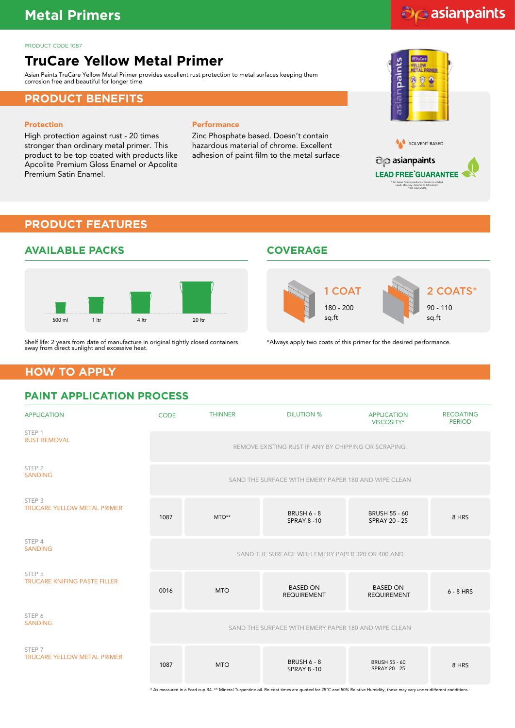# **Metal Primers**

#### PRODUCT CODE 1087

# **TruCare Yellow Metal Primer**

Asian Paints TruCare Yellow Metal Primer provides excellent rust protection to metal surfaces keeping them corrosion free and beautiful for longer time.

#### **PRODUCT BENEFITS**

#### Protection

High protection against rust - 20 times stronger than ordinary metal primer. This product to be top coated with products like Apcolite Premium Gloss Enamel or Apcolite Premium Satin Enamel.

#### **Performance**

Zinc Phosphate based. Doesn't contain hazardous material of chrome. Excellent adhesion of paint film to the metal surface

# asiampaints Ä SOLVENT BASED co asianpaints

do asianpaints

\* All Asian Paints products contain no added Lead, Mercury, Arsenic or Chromium from April 2008.

**LEAD FREE GUARANTEE** 

# **PRODUCT FEATURES**



Shelf life: 2 years from date of manufacture in original tightly closed containers away from direct sunlight and excessive heat.

#### **AVAILABLE PACKS COVERAGE**



\*Always apply two coats of this primer for the desired performance.

# **HOW TO APPLY**

# **PAINT APPLICATION PROCESS**

| <b>APPLICATION</b>                                      | <b>CODE</b>                                                                                                                                                        | <b>THINNER</b>                                       | <b>DILUTION %</b>                                    | <b>APPLICATION</b><br>VISCOSITY*             | <b>RECOATING</b><br><b>PERIOD</b> |  |
|---------------------------------------------------------|--------------------------------------------------------------------------------------------------------------------------------------------------------------------|------------------------------------------------------|------------------------------------------------------|----------------------------------------------|-----------------------------------|--|
| STEP 1<br><b>RUST REMOVAL</b>                           | REMOVE EXISTING RUST IF ANY BY CHIPPING OR SCRAPING.                                                                                                               |                                                      |                                                      |                                              |                                   |  |
| STEP <sub>2</sub><br><b>SANDING</b>                     |                                                                                                                                                                    |                                                      | SAND THE SURFACE WITH EMERY PAPER 180 AND WIPE CLEAN |                                              |                                   |  |
| STEP <sub>3</sub><br><b>TRUCARE YELLOW METAL PRIMER</b> | 1087                                                                                                                                                               | MTO**                                                | <b>BRUSH 6 - 8</b><br><b>SPRAY 8-10</b>              | <b>BRUSH 55 - 60</b><br><b>SPRAY 20 - 25</b> | 8 HRS                             |  |
| STEP 4<br><b>SANDING</b>                                | SAND THE SURFACE WITH EMERY PAPER 320 OR 400 AND                                                                                                                   |                                                      |                                                      |                                              |                                   |  |
| STEP 5<br><b>TRUCARE KNIFING PASTE FILLER</b>           | 0016                                                                                                                                                               | <b>MTO</b>                                           | <b>BASED ON</b><br><b>REQUIREMENT</b>                | <b>BASED ON</b><br><b>REQUIREMENT</b>        | $6 - 8$ HRS                       |  |
| STEP 6<br><b>SANDING</b>                                |                                                                                                                                                                    | SAND THE SURFACE WITH EMERY PAPER 180 AND WIPE CLEAN |                                                      |                                              |                                   |  |
| STEP <sub>7</sub><br><b>TRUCARE YELLOW METAL PRIMER</b> | 1087                                                                                                                                                               | <b>MTO</b>                                           | <b>BRUSH 6 - 8</b><br><b>SPRAY 8-10</b>              | <b>BRUSH 55 - 60</b><br>SPRAY 20 - 25        | 8 HRS                             |  |
|                                                         | * As measured in a Ford cup B4. ** Mineral Turpentine oil. Re-coat times are quoted for 25°C and 50% Relative Humidity, these may vary under different conditions. |                                                      |                                                      |                                              |                                   |  |